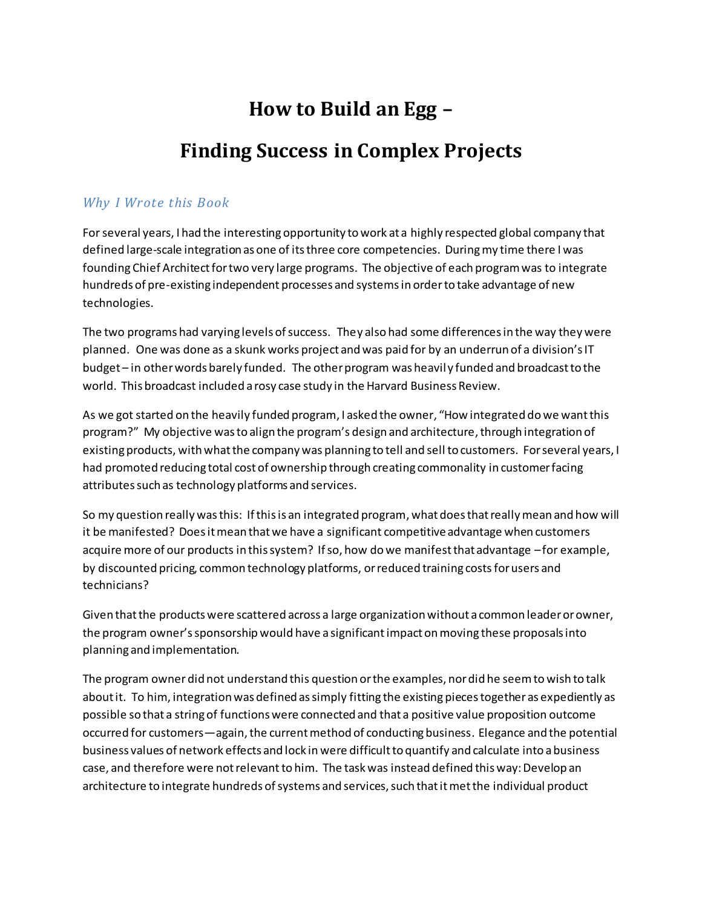## **How to Build an Egg –**

## **Finding Success in Complex Projects**

## *Why I Wrote this Book*

For several years, I had the interesting opportunity to work at a highly respected global company that defined large-scale integration as one of its three core competencies. During my time there I was founding Chief Architect for two very large programs. The objective of each program was to integrate hundreds of pre-existing independent processes and systems in order to take advantage of new technologies.

The two programs had varying levels of success. They also had some differences in the way they were planned. One was done as a skunk works project and was paid for by an underrun of a division's IT budget – in other words barely funded. The other program was heavily funded and broadcast to the world. This broadcast included a rosy case study in the Harvard Business Review.

As we got started on the heavily funded program, I asked the owner, "How integrated dowe want this program?" My objective was to align the program's design and architecture, through integration of existing products, with what the company was planning to tell and sell to customers. For several years, I had promoted reducing total cost of ownership through creating commonality in customer facing attributes such as technology platforms and services.

So my question really was this: If this is an integrated program, what does that really mean and how will it be manifested? Does it mean that we have a significant competitiveadvantage when customers acquire more of our products in this system? If so, how do we manifest that advantage –for example, by discounted pricing, common technology platforms, or reduced training costsfor users and technicians?

Given that the products were scattered across a large organization without a common leader or owner, the program owner'ssponsorship would have a significant impact on moving these proposals into planning and implementation.

The program owner did not understand this question orthe examples, nor did he seem to wish to talk about it. To him, integration was defined as simply fitting the existing pieces together as expediently as possible so that a string of functions were connected and that a positive value proposition outcome occurred for customers—again, the current method of conducting business. Elegance and the potential business values of network effects and lock in were difficult to quantify and calculate into a business case, and therefore were not relevantto him. The task was instead defined this way: Develop an architecture to integrate hundreds of systems and services, such that it met the individual product